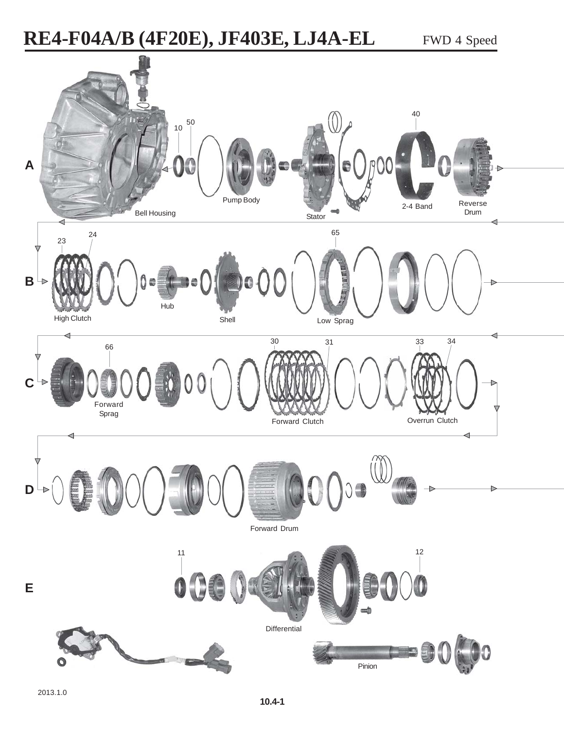## **RE4-F04A/B (4F20E), JF403E, LJ4A-EL** FWD 4 Speed

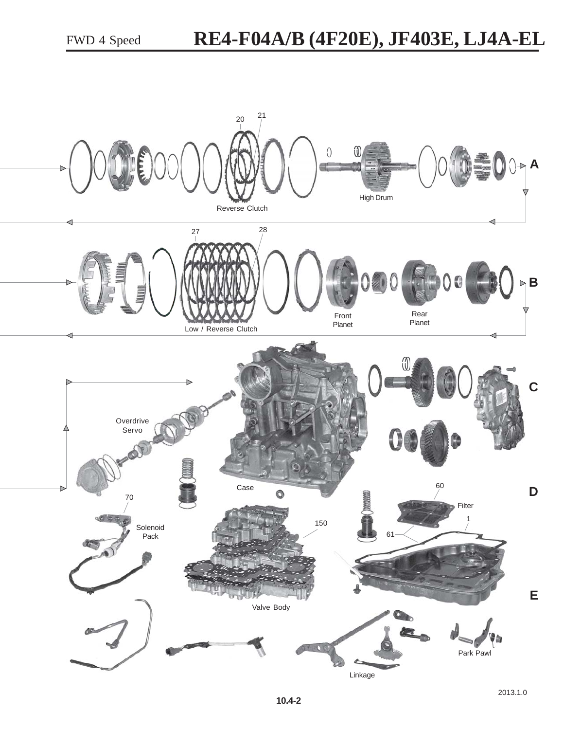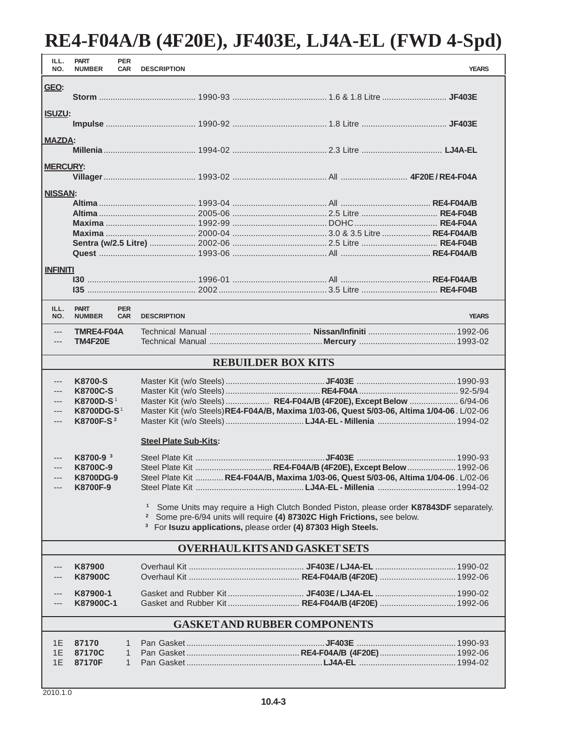## **RE4-F04A/B (4F20E), JF403E, LJ4A-EL (FWD 4-Spd)**

| ILL.<br>NO.                          | <b>PART</b><br><b>NUMBER</b>        | <b>PER</b><br><b>CAR</b> | <b>DESCRIPTION</b>                                                                                                                                                                                                                                                          |                                                                                            | <b>YEARS</b> |  |  |  |  |
|--------------------------------------|-------------------------------------|--------------------------|-----------------------------------------------------------------------------------------------------------------------------------------------------------------------------------------------------------------------------------------------------------------------------|--------------------------------------------------------------------------------------------|--------------|--|--|--|--|
| GEO:                                 |                                     |                          |                                                                                                                                                                                                                                                                             |                                                                                            |              |  |  |  |  |
| <b>ISUZU:</b>                        |                                     |                          |                                                                                                                                                                                                                                                                             |                                                                                            |              |  |  |  |  |
| <b>MAZDA:</b>                        |                                     |                          |                                                                                                                                                                                                                                                                             |                                                                                            |              |  |  |  |  |
| <b>MERCURY:</b>                      |                                     |                          |                                                                                                                                                                                                                                                                             |                                                                                            |              |  |  |  |  |
| <b>NISSAN:</b>                       |                                     |                          |                                                                                                                                                                                                                                                                             |                                                                                            |              |  |  |  |  |
|                                      |                                     |                          |                                                                                                                                                                                                                                                                             |                                                                                            |              |  |  |  |  |
|                                      |                                     |                          |                                                                                                                                                                                                                                                                             |                                                                                            |              |  |  |  |  |
|                                      |                                     |                          |                                                                                                                                                                                                                                                                             |                                                                                            |              |  |  |  |  |
|                                      |                                     |                          |                                                                                                                                                                                                                                                                             |                                                                                            |              |  |  |  |  |
|                                      |                                     |                          |                                                                                                                                                                                                                                                                             |                                                                                            |              |  |  |  |  |
|                                      |                                     |                          |                                                                                                                                                                                                                                                                             |                                                                                            |              |  |  |  |  |
| <b>INFINITI</b>                      |                                     |                          |                                                                                                                                                                                                                                                                             |                                                                                            |              |  |  |  |  |
|                                      |                                     |                          |                                                                                                                                                                                                                                                                             |                                                                                            |              |  |  |  |  |
|                                      |                                     |                          |                                                                                                                                                                                                                                                                             |                                                                                            |              |  |  |  |  |
| ILL.<br>NO.                          | <b>PART</b><br><b>NUMBER</b>        | <b>PER</b><br><b>CAR</b> | <b>DESCRIPTION</b>                                                                                                                                                                                                                                                          |                                                                                            | <b>YEARS</b> |  |  |  |  |
| $---$<br>$---$                       | TMRE4-F04A<br>TM4F20E               |                          |                                                                                                                                                                                                                                                                             |                                                                                            |              |  |  |  |  |
|                                      |                                     |                          |                                                                                                                                                                                                                                                                             | <b>REBUILDER BOX KITS</b>                                                                  |              |  |  |  |  |
| ---                                  | <b>K8700-S</b>                      |                          |                                                                                                                                                                                                                                                                             |                                                                                            |              |  |  |  |  |
| $---$                                | <b>K8700C-S</b>                     |                          |                                                                                                                                                                                                                                                                             |                                                                                            |              |  |  |  |  |
| $---$                                | K8700D-S <sup>1</sup>               |                          |                                                                                                                                                                                                                                                                             | Master Kit (w/o Steels)  RE4-F04A/B (4F20E), Except Below  6/94-06                         |              |  |  |  |  |
| $---$                                | <b>K8700DG-S1</b>                   |                          |                                                                                                                                                                                                                                                                             | Master Kit (w/o Steels) RE4-F04A/B, Maxima 1/03-06, Quest 5/03-06, Altima 1/04-06. L/02-06 |              |  |  |  |  |
| $---$                                | K8700F-S <sup>2</sup>               |                          |                                                                                                                                                                                                                                                                             |                                                                                            |              |  |  |  |  |
|                                      |                                     |                          | <b>Steel Plate Sub-Kits:</b>                                                                                                                                                                                                                                                |                                                                                            |              |  |  |  |  |
|                                      | K8700-9 <sup>3</sup>                |                          |                                                                                                                                                                                                                                                                             |                                                                                            |              |  |  |  |  |
|                                      | K8700C-9                            |                          |                                                                                                                                                                                                                                                                             | Steel Plate Kit  RE4-F04A/B (4F20E), Except Below  1992-06                                 |              |  |  |  |  |
|                                      | <b>K8700DG-9</b><br>K8700F-9        |                          |                                                                                                                                                                                                                                                                             | Steel Plate Kit  RE4-F04A/B, Maxima 1/03-06, Quest 5/03-06, Altima 1/04-06. L/02-06        |              |  |  |  |  |
|                                      |                                     |                          |                                                                                                                                                                                                                                                                             |                                                                                            |              |  |  |  |  |
|                                      |                                     |                          | Some Units may require a High Clutch Bonded Piston, please order K87843DF separately.<br>$\mathbf{1}$<br>Some pre-6/94 units will require (4) 87302C High Frictions, see below.<br>$\mathbf{z}$<br><sup>3</sup> For Isuzu applications, please order (4) 87303 High Steels. |                                                                                            |              |  |  |  |  |
| <b>OVERHAUL KITS AND GASKET SETS</b> |                                     |                          |                                                                                                                                                                                                                                                                             |                                                                                            |              |  |  |  |  |
|                                      | K87900                              |                          |                                                                                                                                                                                                                                                                             |                                                                                            |              |  |  |  |  |
|                                      | <b>K87900C</b>                      |                          |                                                                                                                                                                                                                                                                             |                                                                                            |              |  |  |  |  |
| ---                                  | K87900-1                            |                          |                                                                                                                                                                                                                                                                             |                                                                                            |              |  |  |  |  |
|                                      | K87900C-1                           |                          |                                                                                                                                                                                                                                                                             | Gasket and Rubber Kit RE4-F04A/B (4F20E)  1992-06                                          |              |  |  |  |  |
|                                      | <b>GASKET AND RUBBER COMPONENTS</b> |                          |                                                                                                                                                                                                                                                                             |                                                                                            |              |  |  |  |  |
| 1E                                   | 87170                               | 1                        |                                                                                                                                                                                                                                                                             |                                                                                            |              |  |  |  |  |
| 1E                                   | 87170C                              | 1                        |                                                                                                                                                                                                                                                                             |                                                                                            |              |  |  |  |  |
| 1E                                   | 87170F                              | 1                        |                                                                                                                                                                                                                                                                             |                                                                                            |              |  |  |  |  |
|                                      |                                     |                          |                                                                                                                                                                                                                                                                             |                                                                                            |              |  |  |  |  |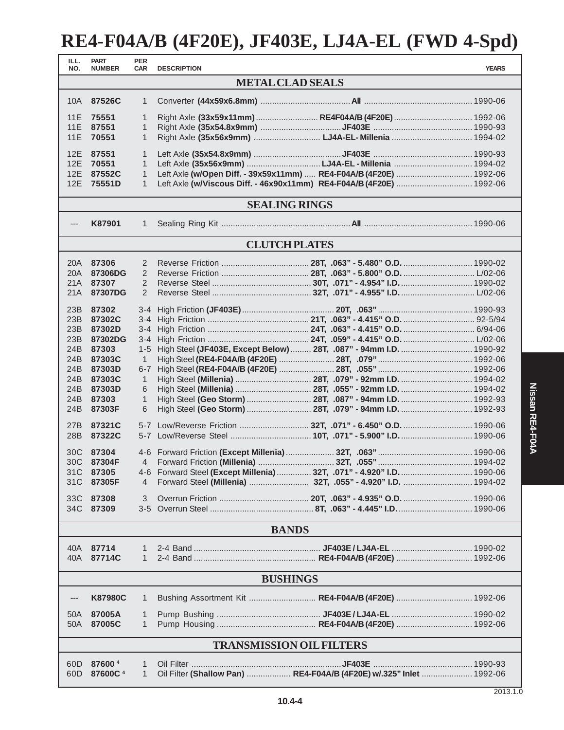## **RE4-F04A/B (4F20E), JF403E, LJ4A-EL (FWD 4-Spd)**

| ILL.<br>NO.                     | <b>PART</b><br><b>NUMBER</b> | <b>PER</b><br><b>CAR</b> | <b>DESCRIPTION</b>                                                     |  | <b>YEARS</b> |  |  |  |  |  |
|---------------------------------|------------------------------|--------------------------|------------------------------------------------------------------------|--|--------------|--|--|--|--|--|
| <b>METAL CLAD SEALS</b>         |                              |                          |                                                                        |  |              |  |  |  |  |  |
| 87526C<br>10A<br>$\mathbf{1}$   |                              |                          |                                                                        |  |              |  |  |  |  |  |
|                                 |                              |                          |                                                                        |  |              |  |  |  |  |  |
| 11E                             | 75551                        | $\mathbf{1}$             | Right Axle (33x59x11mm)  RE4F04A/B (4F20E)  1992-06                    |  |              |  |  |  |  |  |
| 11E                             | 87551                        | 1                        |                                                                        |  |              |  |  |  |  |  |
| 11E                             | 70551                        | $\mathbf{1}$             |                                                                        |  |              |  |  |  |  |  |
| 12E                             | 87551                        | 1                        |                                                                        |  |              |  |  |  |  |  |
| 12E                             | 70551                        | $\mathbf{1}$             |                                                                        |  |              |  |  |  |  |  |
| 12E                             | 87552C                       | $\mathbf{1}$             | Left Axle (w/Open Diff. - 39x59x11mm)  RE4-F04A/B (4F20E)  1992-06     |  |              |  |  |  |  |  |
| 12E                             | 75551D                       | 1                        | Left Axle (w/Viscous Diff. - 46x90x11mm) RE4-F04A/B (4F20E)  1992-06   |  |              |  |  |  |  |  |
| <b>SEALING RINGS</b>            |                              |                          |                                                                        |  |              |  |  |  |  |  |
| K87901                          |                              |                          |                                                                        |  |              |  |  |  |  |  |
| ---                             |                              | $\mathbf{1}$             |                                                                        |  |              |  |  |  |  |  |
|                                 |                              |                          | <b>CLUTCH PLATES</b>                                                   |  |              |  |  |  |  |  |
| 20A                             | 87306                        | 2                        |                                                                        |  |              |  |  |  |  |  |
| 20A                             | 87306DG                      | 2                        |                                                                        |  |              |  |  |  |  |  |
| 21A                             | 87307                        | 2                        |                                                                        |  |              |  |  |  |  |  |
| 21A                             | 87307DG                      | $\overline{2}$           |                                                                        |  |              |  |  |  |  |  |
|                                 |                              |                          |                                                                        |  |              |  |  |  |  |  |
| 23B                             | 87302                        |                          |                                                                        |  |              |  |  |  |  |  |
| 23B                             | 87302C                       | $3 - 4$                  |                                                                        |  |              |  |  |  |  |  |
| 23B                             | 87302D                       | $3 - 4$                  |                                                                        |  |              |  |  |  |  |  |
| 23B                             | 87302DG                      | 3-4                      |                                                                        |  |              |  |  |  |  |  |
| 24B                             | 87303                        | $1 - 5$                  | High Steel (JF403E, Except Below)  28T, .087" - 94mm I.D.  1990-92     |  |              |  |  |  |  |  |
| 24B                             | 87303C                       | $\mathbf{1}$             |                                                                        |  |              |  |  |  |  |  |
| 24B                             | 87303D<br>87303C             | $6 - 7$<br>$\mathbf{1}$  |                                                                        |  |              |  |  |  |  |  |
| 24B<br>24B                      | 87303D                       | 6                        | High Steel (Millenia)  28T, .055" - 92mm I.D.  1994-02                 |  |              |  |  |  |  |  |
| 24B                             | 87303                        | $\mathbf{1}$             |                                                                        |  |              |  |  |  |  |  |
| 24B                             | 87303F                       | 6                        |                                                                        |  |              |  |  |  |  |  |
|                                 |                              |                          |                                                                        |  |              |  |  |  |  |  |
| 27B                             | 87321C                       |                          | 5-7 Low/Reverse Friction  32T, .071" - 6.450" O.D.  1990-06            |  |              |  |  |  |  |  |
| 28B                             | 87322C                       |                          | 5-7 Low/Reverse Steel  10T, .071" - 5.900" I.D.  1990-06               |  |              |  |  |  |  |  |
|                                 |                              |                          |                                                                        |  |              |  |  |  |  |  |
| 30C<br>30C                      | 87304                        | $\overline{4}$           |                                                                        |  |              |  |  |  |  |  |
|                                 | 87304F<br>31C 87305          |                          | 4-6 Forward Steel (Except Millenia)  32T, .071" - 4.920" I.D.  1990-06 |  |              |  |  |  |  |  |
| 31C                             | 87305F                       | 4                        |                                                                        |  |              |  |  |  |  |  |
|                                 |                              |                          |                                                                        |  |              |  |  |  |  |  |
| 33C                             | 87308                        | 3                        |                                                                        |  |              |  |  |  |  |  |
|                                 | 34C 87309                    |                          |                                                                        |  |              |  |  |  |  |  |
|                                 |                              |                          | <b>BANDS</b>                                                           |  |              |  |  |  |  |  |
|                                 |                              |                          |                                                                        |  |              |  |  |  |  |  |
| 40A l                           | 87714                        | 1                        |                                                                        |  |              |  |  |  |  |  |
| 40A                             | 87714C                       | 1                        |                                                                        |  |              |  |  |  |  |  |
| <b>BUSHINGS</b>                 |                              |                          |                                                                        |  |              |  |  |  |  |  |
|                                 |                              |                          |                                                                        |  |              |  |  |  |  |  |
| ---                             | <b>K87980C</b>               | 1                        | Bushing Assortment Kit  RE4-F04A/B (4F20E)  1992-06                    |  |              |  |  |  |  |  |
| 50A                             | 87005A                       | 1                        |                                                                        |  |              |  |  |  |  |  |
| 50A                             | 87005C                       | $\mathbf{1}$             |                                                                        |  |              |  |  |  |  |  |
| <b>TRANSMISSION OIL FILTERS</b> |                              |                          |                                                                        |  |              |  |  |  |  |  |
|                                 |                              |                          |                                                                        |  |              |  |  |  |  |  |
| 60D                             | 876004                       | 1                        |                                                                        |  |              |  |  |  |  |  |
| 60D                             | 87600C <sup>4</sup>          | 1                        | Oil Filter (Shallow Pan)  RE4-F04A/B (4F20E) w/.325" Inlet  1992-06    |  |              |  |  |  |  |  |
|                                 |                              |                          |                                                                        |  |              |  |  |  |  |  |

**10.4-4**